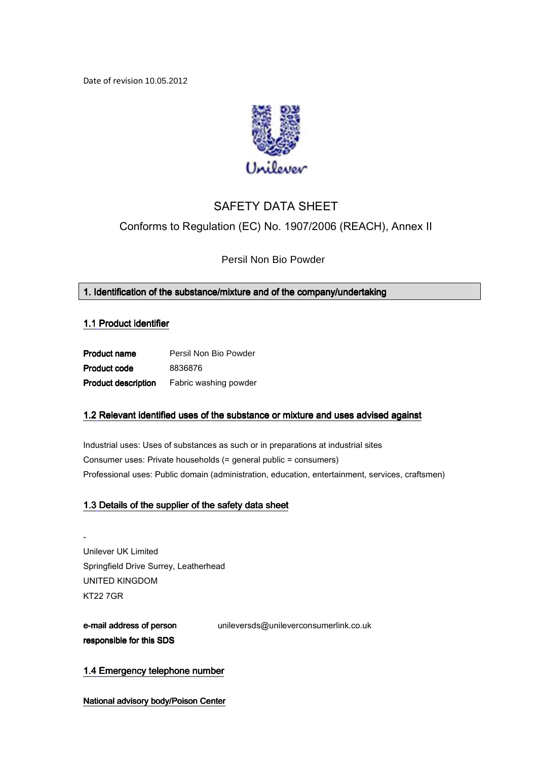Date of revision 10.05.2012



# SAFETY DATA SHEET Conforms to Regulation (EC) No. 1907/2006 (REACH), Annex II

Persil Non Bio Powder

# 1. Identification of the substance/mixture and of the company/undertaking

# 1.1 Product identifier

| <b>Product name</b>        | Persil Non Bio Powder |
|----------------------------|-----------------------|
| <b>Product code</b>        | 8836876               |
| <b>Product description</b> | Fabric washing powder |

# 1.2 Relevant identified uses of the substance or mixture and uses advised against

Industrial uses: Uses of substances as such or in preparations at industrial sites Consumer uses: Private households (= general public = consumers) Professional uses: Public domain (administration, education, entertainment, services, craftsmen)

# 1.3 Details of the supplier of the safety data sheet

- Unilever UK Limited Springfield Drive Surrey, Leatherhead UNITED KINGDOM KT22 7GR

# e-mail address of person responsible for this SDS

unileversds@unileverconsumerlink.co.uk

1.4 Emergency telephone number

National advisory body/Poison Center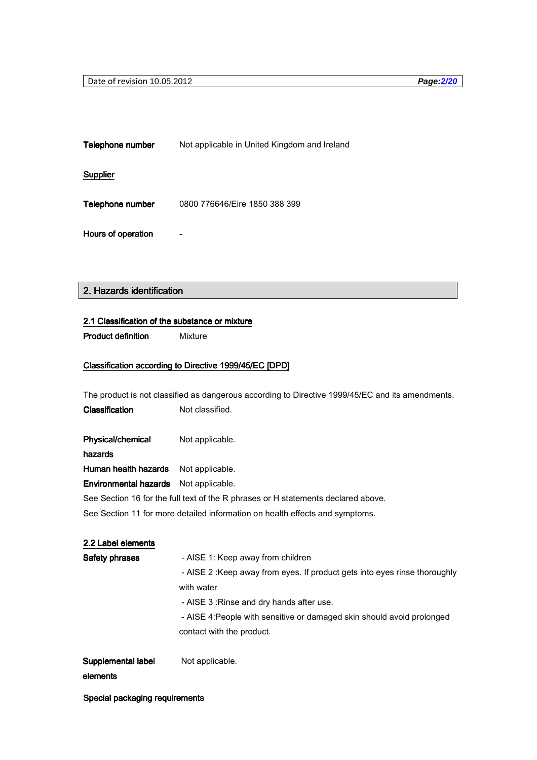Telephone number Not applicable in United Kingdom and Ireland

# **Supplier**

Telephone number 0800 776646/Eire 1850 388 399

Hours of operation **-**

# 2. Hazards identification

### 2.1 Classification of the substance or mixture

Product definition Mixture

# Classification according to Directive 1999/45/EC [DPD]

The product is not classified as dangerous according to Directive 1999/45/EC and its amendments.

| Classification | Not classified. |
|----------------|-----------------|
|                |                 |

Physical/chemical Not applicable.

hazards hazards

Human health hazards Not applicable.

Environmental hazards Not applicable.

See Section 16 for the full text of the R phrases or H statements declared above.

See Section 11 for more detailed information on health effects and symptoms.

# 2.2 Label elements

| Safety phrases     | - AISE 1: Keep away from children                                         |
|--------------------|---------------------------------------------------------------------------|
|                    | - AISE 2: Keep away from eyes. If product gets into eyes rinse thoroughly |
|                    | with water                                                                |
|                    | - AISE 3: Rinse and dry hands after use.                                  |
|                    | - AISE 4: People with sensitive or damaged skin should avoid prolonged    |
|                    | contact with the product.                                                 |
|                    |                                                                           |
| Supplemental label | Not applicable.                                                           |

# elements elements

Special packaging requirements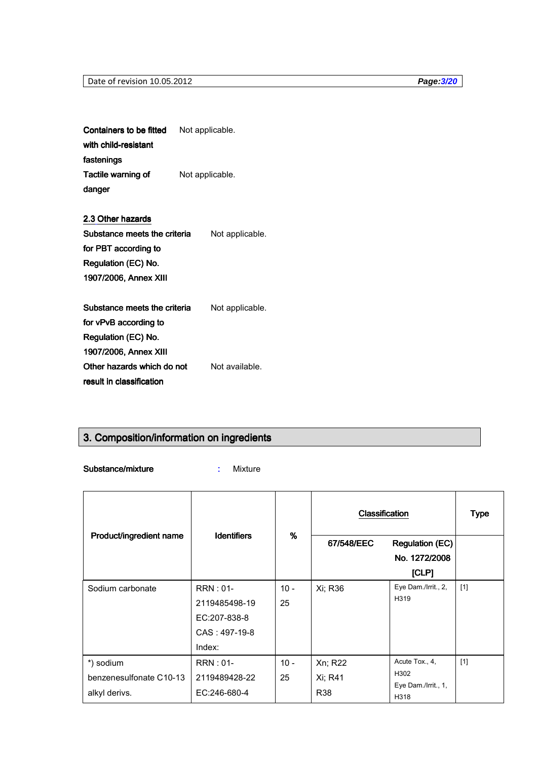Containers to be fitted with child-resistant fastenings Not applicable. Tactile warning of danger Not applicable.

2.3 Other hazards Substance meets the criteria for PBT according to Regulation (EC) No. 1907/2006, Annex XIII 1907/2006, Annex XIII Not applicable.

Substance meets the criteria for vPvB according to Regulation (EC) No. 1907/2006, Annex XIII Not applicable. Other hazards which do not result in classification Not available.

# 3. Composition/information on ingredients

Substance/mixture : Mixture

|                         |                    | Classification |            | <b>Type</b>                 |       |
|-------------------------|--------------------|----------------|------------|-----------------------------|-------|
| Product/ingredient name | <b>Identifiers</b> | %              | 67/548/EEC | <b>Regulation (EC)</b>      |       |
|                         |                    |                |            | No. 1272/2008               |       |
|                         |                    |                |            | [CLP]                       |       |
| Sodium carbonate        | $RRN:01-$          | $10 -$         | Xi; R36    | Eye Dam./Irrit., 2,         | $[1]$ |
|                         | 2119485498-19      | 25             |            | H319                        |       |
|                         | EC:207-838-8       |                |            |                             |       |
|                         | $CAS: 497-19-8$    |                |            |                             |       |
|                         | Index:             |                |            |                             |       |
| *) sodium               | $RRN:01-$          | $10 -$         | Xn; R22    | Acute Tox., 4,              | $[1]$ |
| benzenesulfonate C10-13 | 2119489428-22      | 25             | Xi; R41    | H302                        |       |
| alkyl derivs.           | EC:246-680-4       |                | R38        | Eye Dam./Irrit., 1,<br>H318 |       |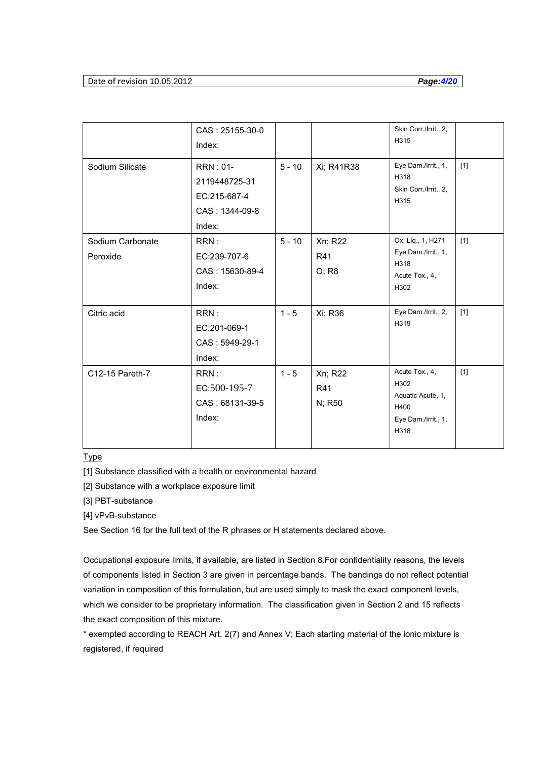# Date of revision 10.05.2012 **Page:4/20**

|                              | CAS: 25155-30-0<br>Index:                                              |          |                          | Skin Corr./Irrit., 2,<br>H315                                                      |       |
|------------------------------|------------------------------------------------------------------------|----------|--------------------------|------------------------------------------------------------------------------------|-------|
| Sodium Silicate              | $RRN:01-$<br>2119448725-31<br>EC:215-687-4<br>CAS: 1344-09-8<br>Index: | $5 - 10$ | Xi; R41R38               | Eye Dam./Irrit., 1,<br>H318<br>Skin Corr./Irrit., 2,<br>H315                       | [1]   |
| Sodium Carbonate<br>Peroxide | RRN:<br>EC:239-707-6<br>CAS: 15630-89-4<br>Index:                      | $5 - 10$ | Xn; R22<br>R41<br>O; R8  | Ox. Liq., 1, H271<br>Eye Dam./Irrit., 1,<br>H318<br>Acute Tox., 4,<br>H302         | $[1]$ |
| Citric acid                  | RRN:<br>EC:201-069-1<br>CAS: 5949-29-1<br>Index:                       | $1 - 5$  | Xi; R36                  | Eye Dam./Irrit., 2,<br>H319                                                        | [1]   |
| C12-15 Pareth-7              | RRN:<br>EC:500-195-7<br>CAS: 68131-39-5<br>Index:                      | $1 - 5$  | Xn; R22<br>R41<br>N; R50 | Acute Tox., 4,<br>H302<br>Aquatic Acute, 1,<br>H400<br>Eye Dam./Irrit., 1,<br>H318 | $[1]$ |

# **Type**

[1] Substance classified with a health or environmental hazard

[2] Substance with a workplace exposure limit

[3] PBT-substance

[4] vPvB-substance

See Section 16 for the full text of the R phrases or H statements declared above.

Occupational exposure limits, if available, are listed in Section 8.For confidentiality reasons, the levels of components listed in Section 3 are given in percentage bands. The bandings do not reflect potential variation in composition of this formulation, but are used simply to mask the exact component levels, which we consider to be proprietary information. The classification given in Section 2 and 15 reflects the exact composition of this mixture.

\* exempted according to REACH Art. 2(7) and Annex V; Each starting material of the ionic mixture is registered, if required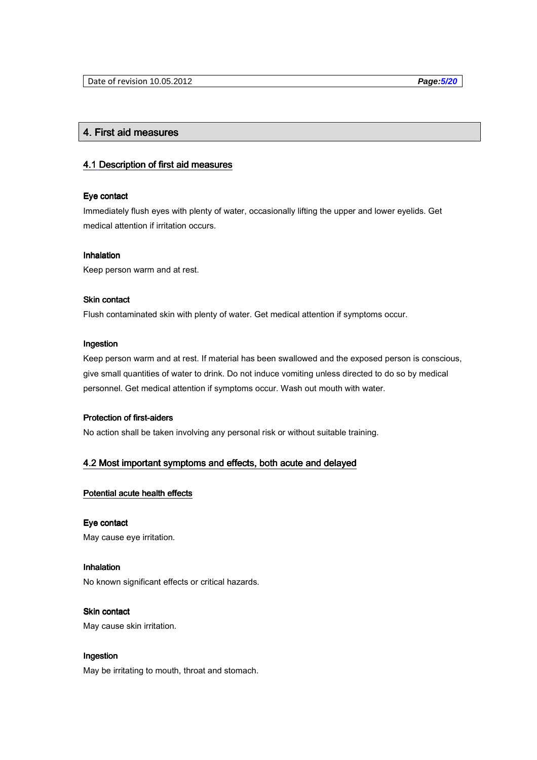# 4. First aid measures 4.

### 4.1 Description of first aid measures

# Eye contact

Immediately flush eyes with plenty of water, occasionally lifting the upper and lower eyelids. Get medical attention if irritation occurs.

#### **Inhalation**

Keep person warm and at rest.

# **Skin contact**

Flush contaminated skin with plenty of water. Get medical attention if symptoms occur.

# Ingestion

Keep person warm and at rest. If material has been swallowed and the exposed person is conscious, give small quantities of water to drink. Do not induce vomiting unless directed to do so by medical personnel. Get medical attention if symptoms occur. Wash out mouth with water.

#### Protection of first-aiders

No action shall be taken involving any personal risk or without suitable training.

# 4.2 Most important symptoms and effects, both acute and delayed

#### Potential acute health effects

# Eye contact

May cause eye irritation.

# **Inhalation**

No known significant effects or critical hazards.

# **Skin contact**

May cause skin irritation.

# Ingestion

May be irritating to mouth, throat and stomach.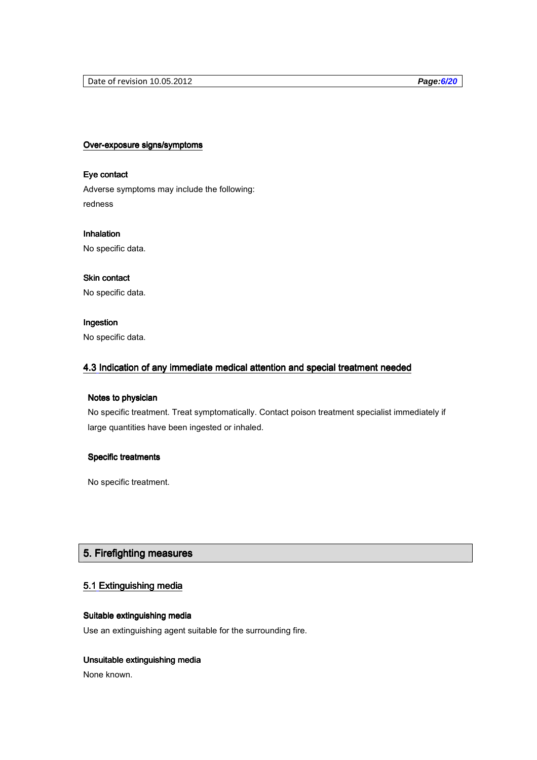# Over-exposure signs/symptoms

# Eye contact

Adverse symptoms may include the following: redness

**Inhalation** No specific data.

# Skin contact

No specific data.

# Ingestion

No specific data.

# 4.3 Indication of any immediate medical attention and special treatment needed

# Notes to physician

No specific treatment. Treat symptomatically. Contact poison treatment specialist immediately if large quantities have been ingested or inhaled.

# Specific treatments

No specific treatment.

# 5. Firefighting measures

# 5.1 Extinguishing media

# Suitable extinguishing media

Use an extinguishing agent suitable for the surrounding fire.

# Unsuitable extinguishing media

None known.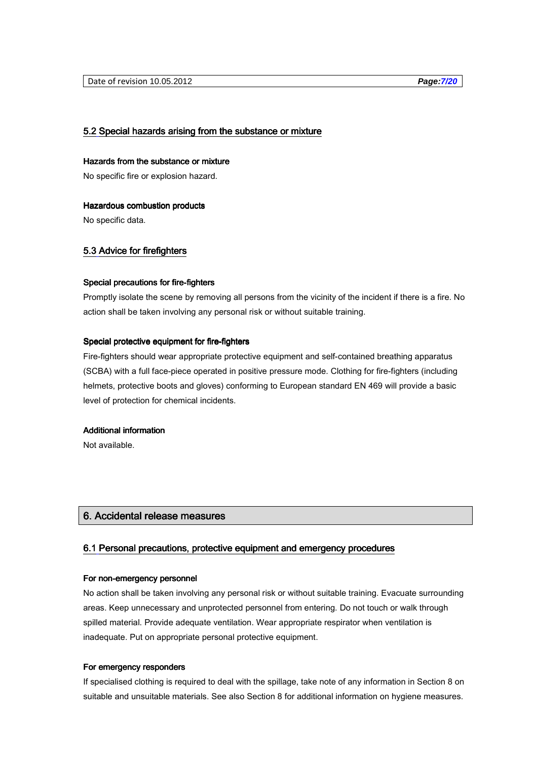### 5.2 Special hazards arising from the substance or mixture

#### Hazards from the substance or mixture

No specific fire or explosion hazard.

#### Hazardous combustion products

No specific data.

# 5.3 Advice for firefighters

#### Special precautions for fire-fighters

Promptly isolate the scene by removing all persons from the vicinity of the incident if there is a fire. No action shall be taken involving any personal risk or without suitable training.

#### Special protective equipment for fire-fighters

Fire-fighters should wear appropriate protective equipment and self-contained breathing apparatus (SCBA) with a full face-piece operated in positive pressure mode. Clothing for fire-fighters (including helmets, protective boots and gloves) conforming to European standard EN 469 will provide a basic level of protection for chemical incidents.

# Additional information

Not available.

# 6. Accidental release measures 6.

# 6.1 Personal precautions, protective equipment and emergency procedures

#### For non-emergency personnel

No action shall be taken involving any personal risk or without suitable training. Evacuate surrounding areas. Keep unnecessary and unprotected personnel from entering. Do not touch or walk through spilled material. Provide adequate ventilation. Wear appropriate respirator when ventilation is inadequate. Put on appropriate personal protective equipment.

#### For emergency responders

If specialised clothing is required to deal with the spillage, take note of any information in Section 8 on suitable and unsuitable materials. See also Section 8 for additional information on hygiene measures.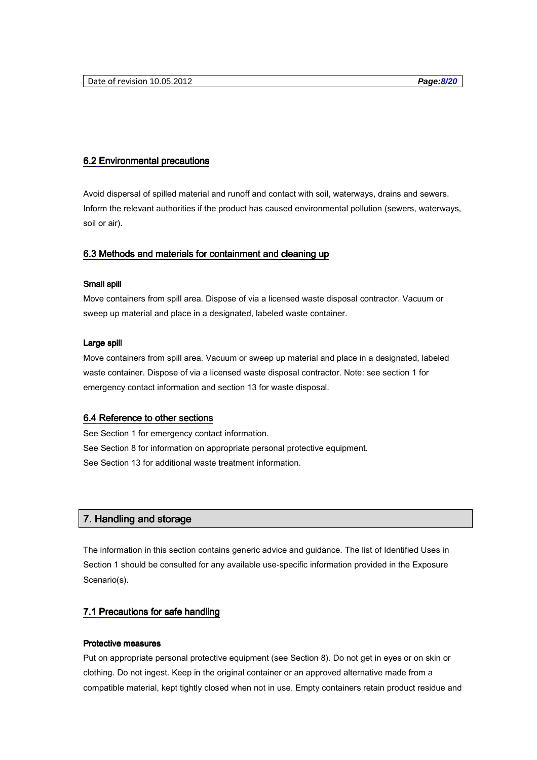# 6.2 Environmental precautions

Avoid dispersal of spilled material and runoff and contact with soil, waterways, drains and sewers. Inform the relevant authorities if the product has caused environmental pollution (sewers, waterways, soil or air).

# 6.3 Methods and materials for containment and cleaning up

# Small spill

Move containers from spill area. Dispose of via a licensed waste disposal contractor. Vacuum or sweep up material and place in a designated, labeled waste container.

#### Large spill

Move containers from spill area. Vacuum or sweep up material and place in a designated, labeled waste container. Dispose of via a licensed waste disposal contractor. Note: see section 1 for emergency contact information and section 13 for waste disposal.

# 6.4 Reference to other sections

See Section 1 for emergency contact information. See Section 8 for information on appropriate personal protective equipment. See Section 13 for additional waste treatment information.

# 7. Handling and storage

The information in this section contains generic advice and guidance. The list of Identified Uses in Section 1 should be consulted for any available use-specific information provided in the Exposure Scenario(s).

# 7.1 Precautions for safe handling

#### **Protective measures**

Put on appropriate personal protective equipment (see Section 8). Do not get in eyes or on skin or clothing. Do not ingest. Keep in the original container or an approved alternative made from a compatible material, kept tightly closed when not in use. Empty containers retain product residue and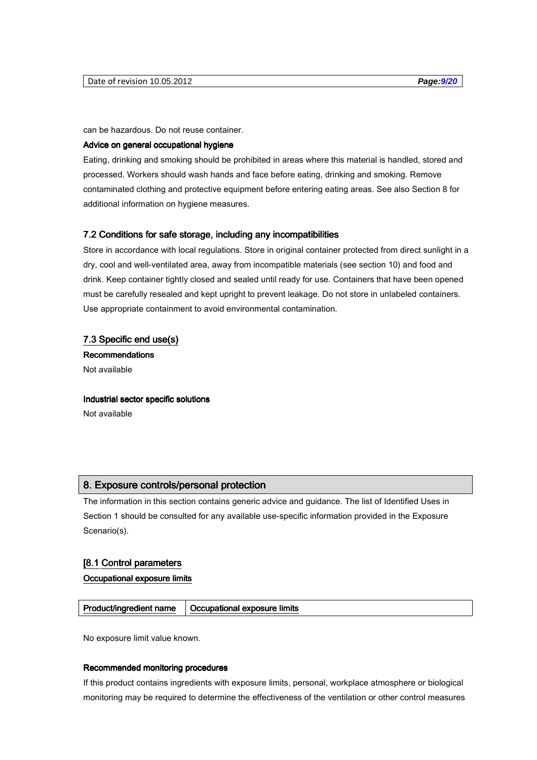can be hazardous. Do not reuse container.

# Advice on general occupational hygiene

Eating, drinking and smoking should be prohibited in areas where this material is handled, stored and processed. Workers should wash hands and face before eating, drinking and smoking. Remove contaminated clothing and protective equipment before entering eating areas. See also Section 8 for additional information on hygiene measures.

### 7.2 Conditions for safe storage, including any incompatibilities

Store in accordance with local regulations. Store in original container protected from direct sunlight in a dry, cool and well-ventilated area, away from incompatible materials (see section 10) and food and drink. Keep container tightly closed and sealed until ready for use. Containers that have been opened must be carefully resealed and kept upright to prevent leakage. Do not store in unlabeled containers. Use appropriate containment to avoid environmental contamination.

# 7.3 Specific end use(s)

**Recommendations** Not available

Industrial sector specific solutions Not available

# 8. Exposure controls/personal protection

The information in this section contains generic advice and guidance. The list of Identified Uses in Section 1 should be consulted for any available use-specific information provided in the Exposure Scenario(s).

#### [8.1 Control parameters

Occupational exposure limits

Product/ingredient name | Occupational exposure limits

No exposure limit value known.

#### Recommended monitoring procedures

If this product contains ingredients with exposure limits, personal, workplace atmosphere or biological monitoring may be required to determine the effectiveness of the ventilation or other control measures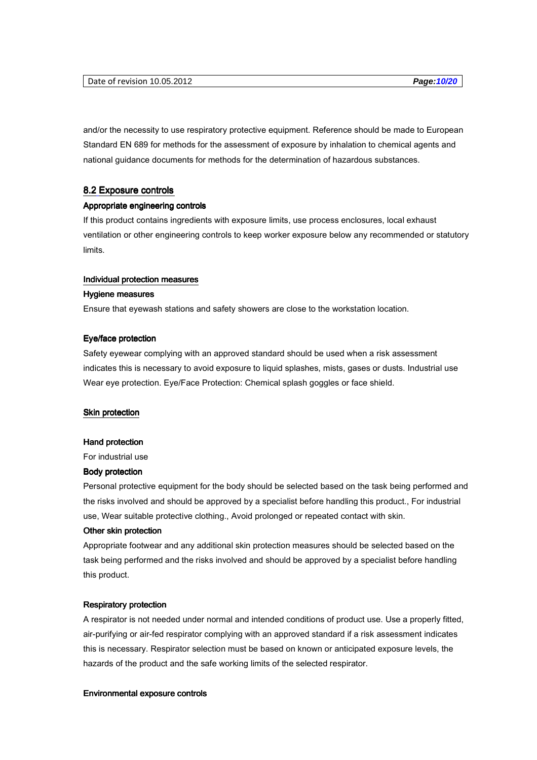and/or the necessity to use respiratory protective equipment. Reference should be made to European Standard EN 689 for methods for the assessment of exposure by inhalation to chemical agents and national guidance documents for methods for the determination of hazardous substances.

#### 8.2 Exposure controls

### Appropriate engineering controls

If this product contains ingredients with exposure limits, use process enclosures, local exhaust ventilation or other engineering controls to keep worker exposure below any recommended or statutory limits.

#### Individual protection measures

#### Hygiene measures

Ensure that eyewash stations and safety showers are close to the workstation location.

#### Eye/face protection

Safety eyewear complying with an approved standard should be used when a risk assessment indicates this is necessary to avoid exposure to liquid splashes, mists, gases or dusts. Industrial use Wear eye protection. Eye/Face Protection: Chemical splash goggles or face shield.

# Skin protection

#### Hand protection

For industrial use

#### **Body protection**

Personal protective equipment for the body should be selected based on the task being performed and the risks involved and should be approved by a specialist before handling this product., For industrial use, Wear suitable protective clothing., Avoid prolonged or repeated contact with skin.

#### Other skin protection

Appropriate footwear and any additional skin protection measures should be selected based on the task being performed and the risks involved and should be approved by a specialist before handling this product.

#### Respiratory protection Respiratory protection

A respirator is not needed under normal and intended conditions of product use. Use a properly fitted, air-purifying or air-fed respirator complying with an approved standard if a risk assessment indicates this is necessary. Respirator selection must be based on known or anticipated exposure levels, the hazards of the product and the safe working limits of the selected respirator.

#### Environmental exposure controls Environmental exposure controls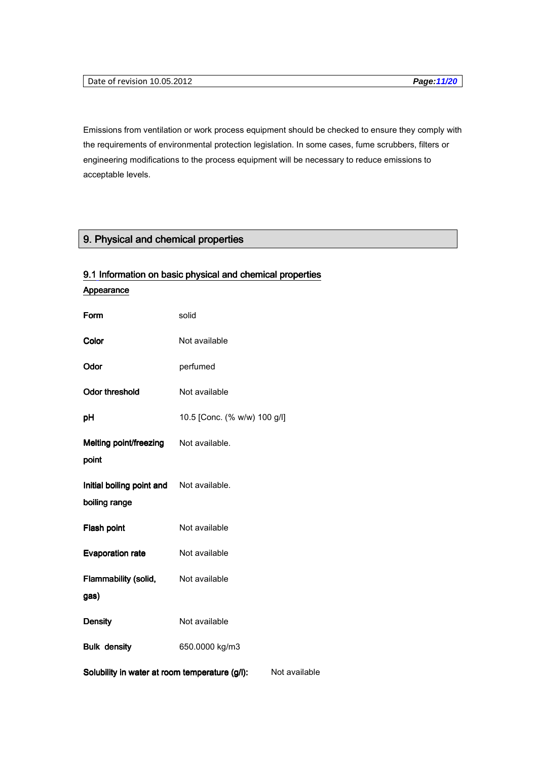Emissions from ventilation or work process equipment should be checked to ensure they comply with the requirements of environmental protection legislation. In some cases, fume scrubbers, filters or engineering modifications to the process equipment will be necessary to reduce emissions to acceptable levels.

# 9. Physical and chemical properties

| Appearance                                                |                              |               |
|-----------------------------------------------------------|------------------------------|---------------|
| Form                                                      | solid                        |               |
| Color                                                     | Not available                |               |
| Odor                                                      | perfumed                     |               |
| <b>Odor threshold</b>                                     | Not available                |               |
| pH                                                        | 10.5 [Conc. (% w/w) 100 g/l] |               |
| Melting point/freezing Not available.<br>point            |                              |               |
| Initial boiling point and Not available.<br>boiling range |                              |               |
| Flash point                                               | Not available                |               |
| <b>Evaporation rate</b>                                   | Not available                |               |
| Flammability (solid,<br>gas)                              | Not available                |               |
| <b>Density</b>                                            | Not available                |               |
| <b>Bulk density</b>                                       | 650.0000 kg/m3               |               |
| Solubility in water at room temperature (g/l):            |                              | Not available |

# 9.1 Information on basic physical and chemical properties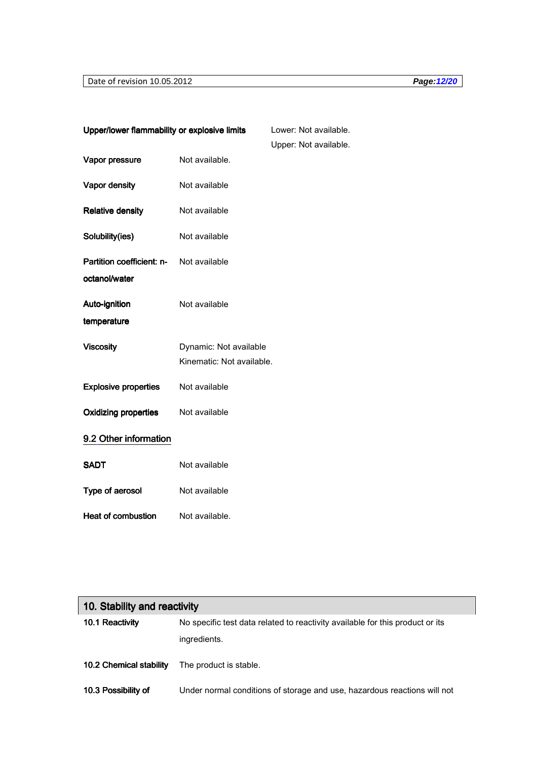# Date of revision 10.05.2012 **Page:12/20**

| Upper/lower flammability or explosive limits |                                                     | Lower: Not available. |
|----------------------------------------------|-----------------------------------------------------|-----------------------|
|                                              |                                                     | Upper: Not available. |
| Vapor pressure                               | Not available.                                      |                       |
| Vapor density                                | Not available                                       |                       |
| <b>Relative density</b>                      | Not available                                       |                       |
| Solubility(ies)                              | Not available                                       |                       |
| Partition coefficient: n-<br>octanol/water   | Not available                                       |                       |
| Auto-ignition<br>temperature                 | Not available                                       |                       |
| <b>Viscosity</b>                             | Dynamic: Not available<br>Kinematic: Not available. |                       |
| <b>Explosive properties</b>                  | Not available                                       |                       |
| <b>Oxidizing properties</b>                  | Not available                                       |                       |
| 9.2 Other information                        |                                                     |                       |
| <b>SADT</b>                                  | Not available                                       |                       |
| Type of aerosol                              | Not available                                       |                       |
| <b>Heat of combustion</b>                    | Not available.                                      |                       |

| 10. Stability and reactivity |                                                                               |  |
|------------------------------|-------------------------------------------------------------------------------|--|
| 10.1 Reactivity              | No specific test data related to reactivity available for this product or its |  |
|                              | ingredients.                                                                  |  |
| 10.2 Chemical stability      | The product is stable.                                                        |  |
| 10.3 Possibility of          | Under normal conditions of storage and use, hazardous reactions will not      |  |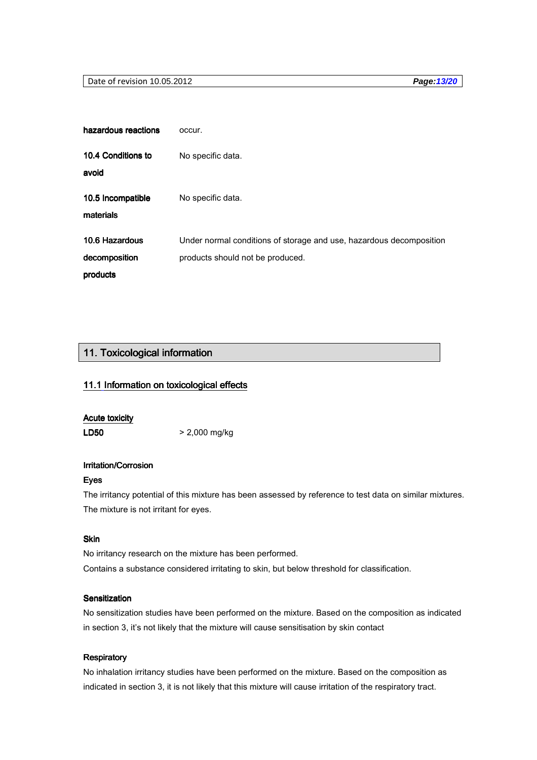# Date of revision 10.05.2012 **Page:13/20**

| hazardous reactions            | occur.                                                              |
|--------------------------------|---------------------------------------------------------------------|
| 10.4 Conditions to<br>avoid    | No specific data.                                                   |
| 10.5 Incompatible<br>materials | No specific data.                                                   |
| 10.6 Hazardous                 | Under normal conditions of storage and use, hazardous decomposition |
| decomposition                  | products should not be produced.                                    |
| products                       |                                                                     |

# 11. Toxicological information

# 11.1 Information on toxicological effects

# Acute toxicity

LD50 > 2,000 mg/kg

# Irritation/Corrosion

### Eyes

The irritancy potential of this mixture has been assessed by reference to test data on similar mixtures. The mixture is not irritant for eyes.

# Skin

No irritancy research on the mixture has been performed. Contains a substance considered irritating to skin, but below threshold for classification.

# Sensitization

No sensitization studies have been performed on the mixture. Based on the composition as indicated in section 3, it's not likely that the mixture will cause sensitisation by skin contact

# **Respiratory**

No inhalation irritancy studies have been performed on the mixture. Based on the composition as indicated in section 3, it is not likely that this mixture will cause irritation of the respiratory tract.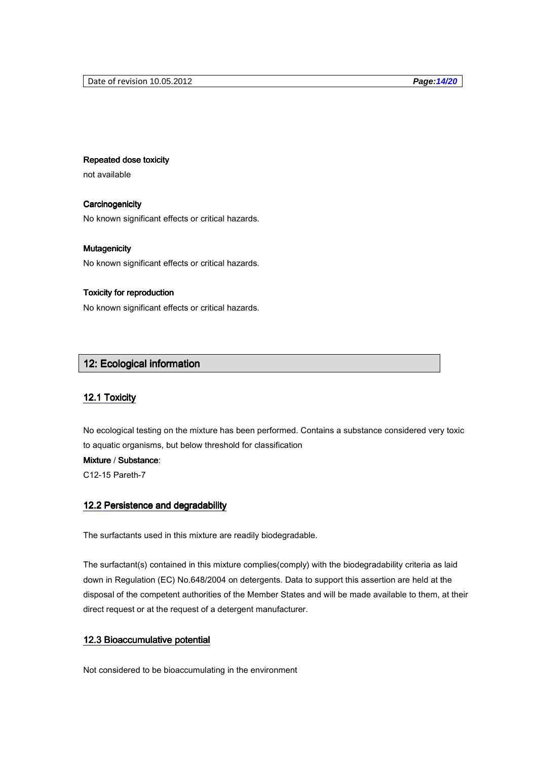### Repeated dose toxicity

not available

# **Carcinogenicity**

No known significant effects or critical hazards.

### Mutagenicity Mutagenicity

No known significant effects or critical hazards.

# Toxicity for reproduction Toxicity for reproduction

No known significant effects or critical hazards.

# 12: Ecological information

#### 12.1 Toxicity

No ecological testing on the mixture has been performed. Contains a substance considered very toxic to aquatic organisms, but below threshold for classification

# Mixture / Substance:

C12-15 Pareth-7

# 12.2 Persistence and degradability

The surfactants used in this mixture are readily biodegradable.

The surfactant(s) contained in this mixture complies(comply) with the biodegradability criteria as laid down in Regulation (EC) No.648/2004 on detergents. Data to support this assertion are held at the disposal of the competent authorities of the Member States and will be made available to them, at their direct request or at the request of a detergent manufacturer.

# 12.3 Bioaccumulative potential

Not considered to be bioaccumulating in the environment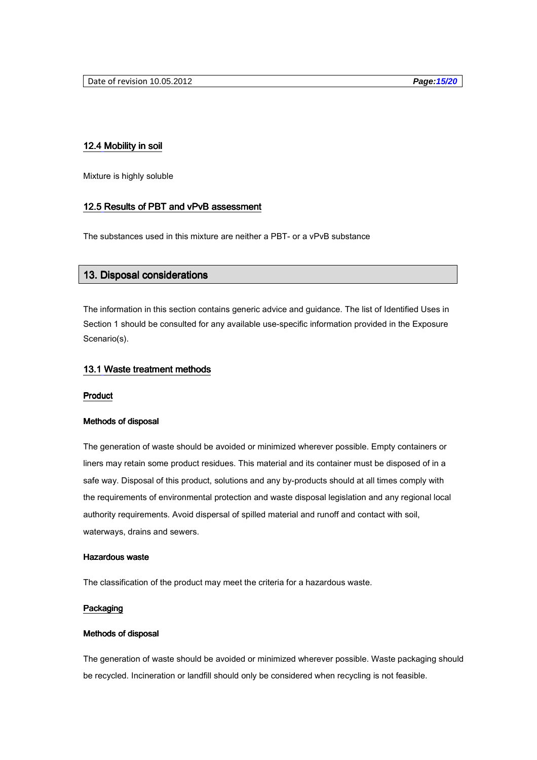# 12.4 Mobility in soil

Mixture is highly soluble

# 12.5 Results of PBT and vPvB assessment

The substances used in this mixture are neither a PBT- or a vPvB substance

# 13. Disposal considerations

The information in this section contains generic advice and guidance. The list of Identified Uses in Section 1 should be consulted for any available use-specific information provided in the Exposure Scenario(s).

# 13.1 Waste treatment methods

#### Product

#### Methods of disposal

The generation of waste should be avoided or minimized wherever possible. Empty containers or liners may retain some product residues. This material and its container must be disposed of in a safe way. Disposal of this product, solutions and any by-products should at all times comply with the requirements of environmental protection and waste disposal legislation and any regional local authority requirements. Avoid dispersal of spilled material and runoff and contact with soil, waterways, drains and sewers.

### Hazardous waste

The classification of the product may meet the criteria for a hazardous waste.

# Packaging

#### Methods of disposal

The generation of waste should be avoided or minimized wherever possible. Waste packaging should be recycled. Incineration or landfill should only be considered when recycling is not feasible.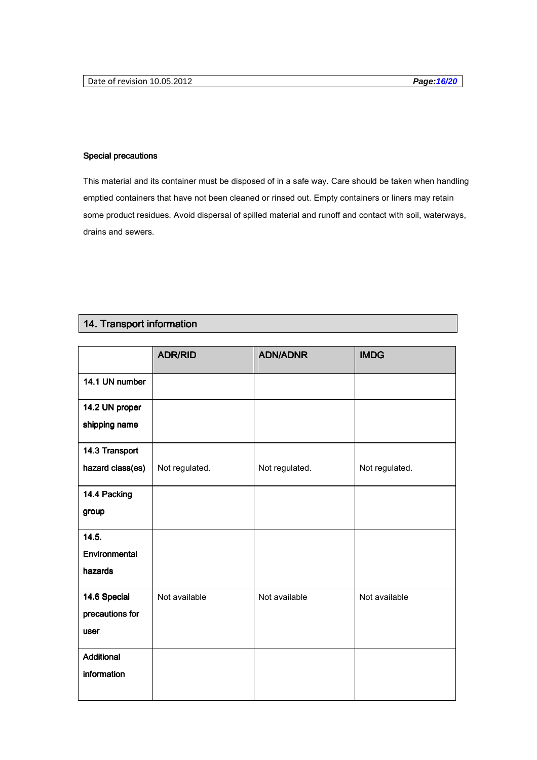# Special precautions

This material and its container must be disposed of in a safe way. Care should be taken when handling emptied containers that have not been cleaned or rinsed out. Empty containers or liners may retain some product residues. Avoid dispersal of spilled material and runoff and contact with soil, waterways, drains and sewers.

# 14. Transport information

|                  | <b>ADR/RID</b> | <b>ADN/ADNR</b> | <b>IMDG</b>    |
|------------------|----------------|-----------------|----------------|
| 14.1 UN number   |                |                 |                |
| 14.2 UN proper   |                |                 |                |
| shipping name    |                |                 |                |
| 14.3 Transport   |                |                 |                |
| hazard class(es) | Not regulated. | Not regulated.  | Not regulated. |
| 14.4 Packing     |                |                 |                |
| group            |                |                 |                |
| 14.5.            |                |                 |                |
| Environmental    |                |                 |                |
| hazards          |                |                 |                |
| 14.6 Special     | Not available  | Not available   | Not available  |
| precautions for  |                |                 |                |
| user             |                |                 |                |
| Additional       |                |                 |                |
| information      |                |                 |                |
|                  |                |                 |                |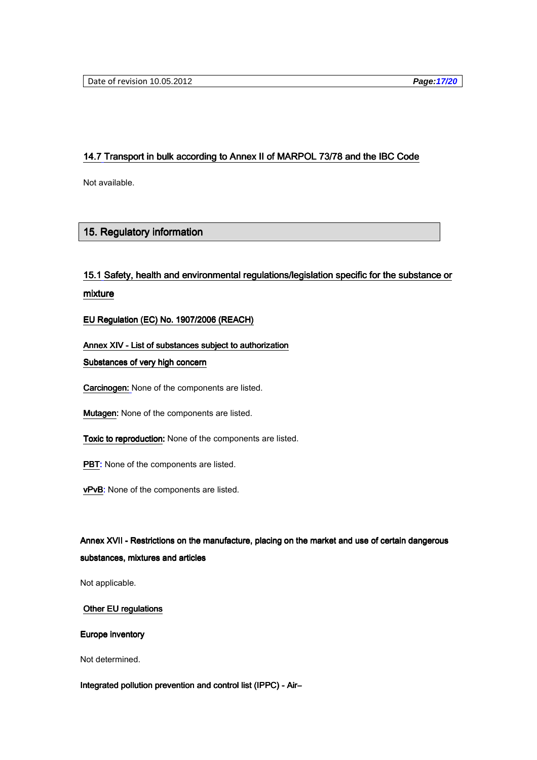# 14.7 Transport in bulk according to Annex II of MARPOL 73/78 and the IBC Code

Not available.

# 15. Regulatory information

# 15.1 Safety, health and environmental regulations/legislation specific for the substance or mixture

EU Regulation (EC) No. 1907/2006 (REACH)

# Annex XIV - List of substances subject to authorization

Substances of very high concern

Carcinogen: None of the components are listed.

**Mutagen:** None of the components are listed.

- Toxic to reproduction: None of the components are listed.
- PBT: None of the components are listed.
- vPvB: None of the components are listed.

# Annex XVII - Restrictions on the manufacture, placing on the market and use of certain dangerous substances, mixtures and articles

Not applicable.

# Other EU regulations

### Europe inventory

Not determined.

# Integrated pollution prevention and control list (IPPC) - Air-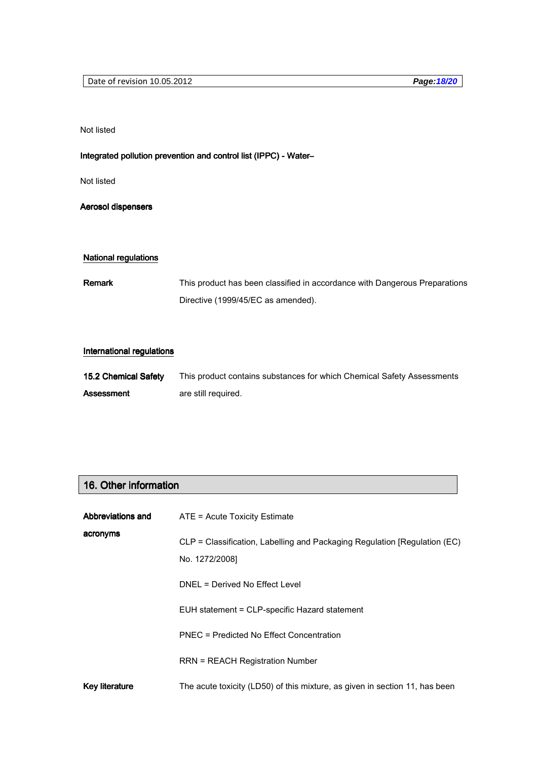Not listed

# Integrated pollution prevention and control list (IPPC) - Water-

Not listed

Aerosol dispensers

# National regulations

Remark This product has been classified in accordance with Dangerous Preparations Directive (1999/45/EC as amended).

# International regulations

| <b>15.2 Chemical Safety</b> | This product contains substances for which Chemical Safety Assessments |
|-----------------------------|------------------------------------------------------------------------|
| <b>Assessment</b>           | are still required.                                                    |

# 16. Other information

| Abbreviations and | ATE = Acute Toxicity Estimate                                                               |
|-------------------|---------------------------------------------------------------------------------------------|
| acronyms          | CLP = Classification, Labelling and Packaging Regulation [Regulation (EC)<br>No. 1272/2008] |
|                   | DNEL = Derived No Effect Level                                                              |
|                   | EUH statement = CLP-specific Hazard statement                                               |
|                   | PNEC = Predicted No Effect Concentration                                                    |
|                   | <b>RRN = REACH Registration Number</b>                                                      |
| Key literature    | The acute toxicity (LD50) of this mixture, as given in section 11, has been                 |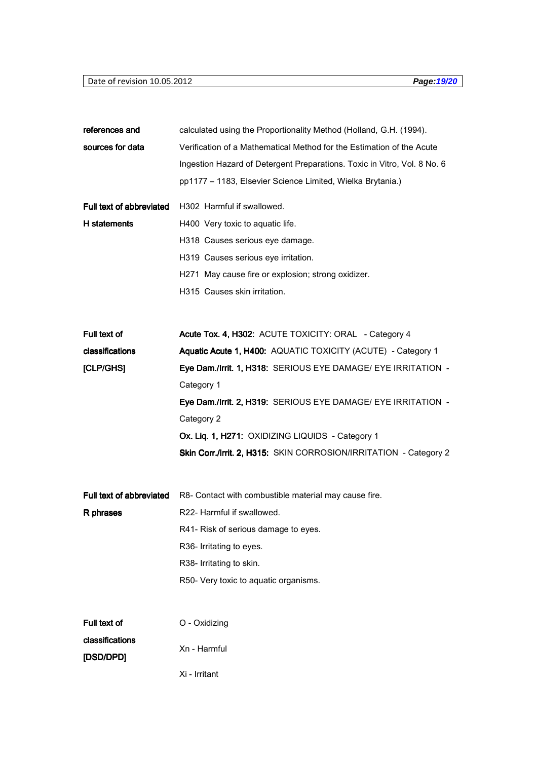# Date of revision 10.05.2012 **Page:19/20**

| references and           | calculated using the Proportionality Method (Holland, G.H. (1994).       |
|--------------------------|--------------------------------------------------------------------------|
| sources for data         | Verification of a Mathematical Method for the Estimation of the Acute    |
|                          | Ingestion Hazard of Detergent Preparations. Toxic in Vitro, Vol. 8 No. 6 |
|                          | pp1177 - 1183, Elsevier Science Limited, Wielka Brytania.)               |
|                          |                                                                          |
| Full text of abbreviated | H302 Harmful if swallowed.                                               |
| H statements             | H400 Very toxic to aquatic life.                                         |
|                          | H318 Causes serious eye damage.                                          |
|                          | H319 Causes serious eye irritation.                                      |
|                          | H271 May cause fire or explosion; strong oxidizer.                       |
|                          | H315 Causes skin irritation.                                             |
|                          |                                                                          |
| Full text of             | Acute Tox. 4, H302: ACUTE TOXICITY: ORAL - Category 4                    |
| classifications          | Aquatic Acute 1, H400: AQUATIC TOXICITY (ACUTE) - Category 1             |
| [CLP/GHS]                | Eye Dam./Irrit. 1, H318: SERIOUS EYE DAMAGE/ EYE IRRITATION -            |
|                          | Category 1                                                               |
|                          | Eye Dam./Irrit. 2, H319: SERIOUS EYE DAMAGE/ EYE IRRITATION -            |
|                          | Category 2                                                               |
|                          | Ox. Liq. 1, H271: OXIDIZING LIQUIDS - Category 1                         |
|                          | Skin Corr./Irrit. 2, H315: SKIN CORROSION/IRRITATION - Category 2        |
|                          |                                                                          |
| Full text of abbreviated | R8- Contact with combustible material may cause fire.                    |
| R phrases                | R22- Harmful if swallowed.                                               |
|                          | R41- Risk of serious damage to eyes.                                     |
|                          | R36- Irritating to eyes.                                                 |
|                          | R38- Irritating to skin.                                                 |
|                          | R50- Very toxic to aquatic organisms.                                    |
|                          |                                                                          |
|                          |                                                                          |
| Full text of             | O - Oxidizing                                                            |
| classifications          | Xn - Harmful                                                             |
| [DSD/DPD]                |                                                                          |
|                          | Xi - Irritant                                                            |